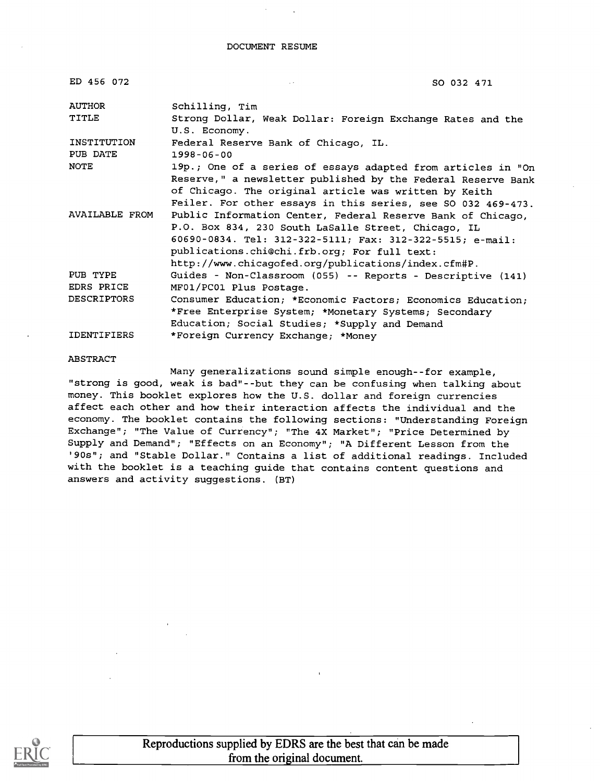| ED 456 072              | SO 032 471                                                                                                                                                                                                                                                                             |
|-------------------------|----------------------------------------------------------------------------------------------------------------------------------------------------------------------------------------------------------------------------------------------------------------------------------------|
| <b>AUTHOR</b><br>TITLE  | Schilling, Tim<br>Strong Dollar, Weak Dollar: Foreign Exchange Rates and the<br>U.S. Economy.                                                                                                                                                                                          |
| INSTITUTION<br>PUB DATE | Federal Reserve Bank of Chicago, IL.<br>$1998 - 06 - 00$                                                                                                                                                                                                                               |
| <b>NOTE</b>             | 19p.; One of a series of essays adapted from articles in "On<br>Reserve," a newsletter published by the Federal Reserve Bank<br>of Chicago. The original article was written by Keith<br>Feiler. For other essays in this series, see SO 032 469-473.                                  |
| <b>AVAILABLE FROM</b>   | Public Information Center, Federal Reserve Bank of Chicago,<br>P.O. Box 834, 230 South LaSalle Street, Chicago, IL<br>60690-0834. Tel: 312-322-5111; Fax: 312-322-5515; e-mail:<br>publications.chi@chi.frb.org; For full text:<br>http://www.chicagofed.org/publications/index.cfm#P. |
| PUB TYPE<br>EDRS PRICE  | Guides - Non-Classroom (055) -- Reports - Descriptive (141)<br>MF01/PC01 Plus Postage.                                                                                                                                                                                                 |
| <b>DESCRIPTORS</b>      | Consumer Education; *Economic Factors; Economics Education;<br>*Free Enterprise System; *Monetary Systems; Secondary<br>Education; Social Studies; *Supply and Demand                                                                                                                  |
| <b>IDENTIFIERS</b>      | *Foreign Currency Exchange; *Money                                                                                                                                                                                                                                                     |

#### ABSTRACT

Many generalizations sound simple enough--for example, "strong is good, weak is bad"--but they can be confusing when talking about money. This booklet explores how the U.S. dollar and foreign currencies affect each other and how their interaction affects the individual and the economy. The booklet contains the following sections: "Understanding Foreign Exchange"; "The Value of Currency"; "The 4X Market"; "Price Determined by Supply and Demand"; "Effects on an Economy"; "A Different Lesson from the '90s"; and "Stable Dollar." Contains a list of additional readings. Included with the booklet is a teaching guide that contains content questions and answers and activity suggestions. (BT)

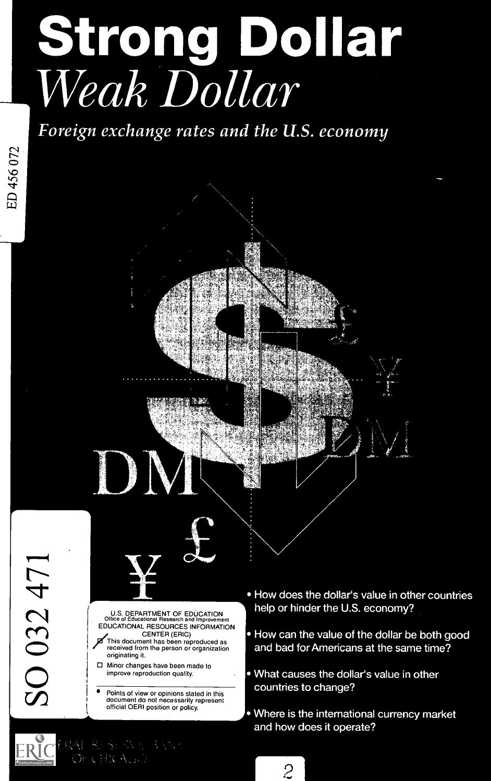## Strong Dollar Weak Dollar

Foreign exchange rates and the U.S. economy



- This document has been reproduced as<br>received from the person or organization and bad for Americans at the same time? • How can the value of the dollar be both good
- **Points of view or opinions stated in this COUNTIER COUNTILES COLORER** e dollar's value in other
	- Where is the international currency market and how does it operate?



- U.S. DEPARTMENT OF EDUCATION<br>
EDUCATIONAL RESOURCES INFORMATION<br>
EDUCATIONAL RESOURCES INFORMATION<br>
This document has been reproduced as<br>
received from the person or organization<br>
and
- received from the person or organization originating it
- 0 Minor changes have been made to improve reproduction quality
- document do not necessarily represent official OERI position or policy





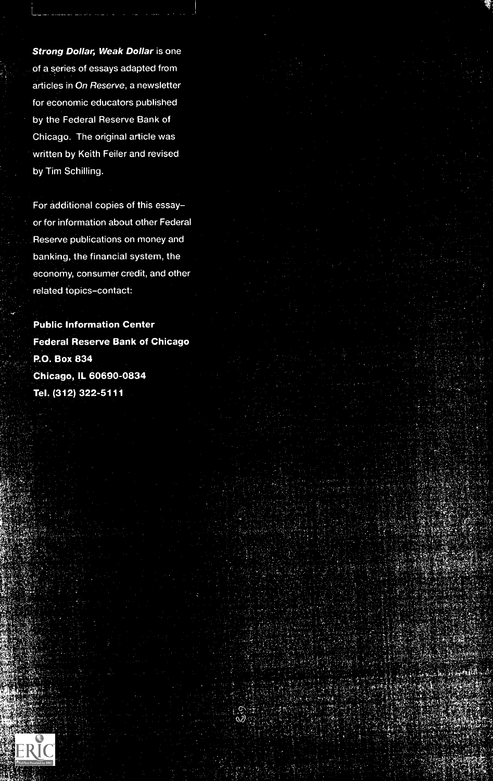**Strong Dollar, Weak Dollar is one** of a series of essays adapted from articles in On Reserve, a newsletter for economic educators published by the Federal Reserve Bank of Chicago. The original article was written by Keith Feiler and revised by Tim Schilling.

For additional copies of this essayor for information about other Federal<br>Reserve publications on money and banking, the financial system, the economy, consumer credit, and other related topics-contact:

**Public Information Center Federal Reserve Bank of Chicago** P.O. Box 834 **Chicago, IL 60690-0834** Tel. (312) 322-5111

್ಸ್<br>ಖ

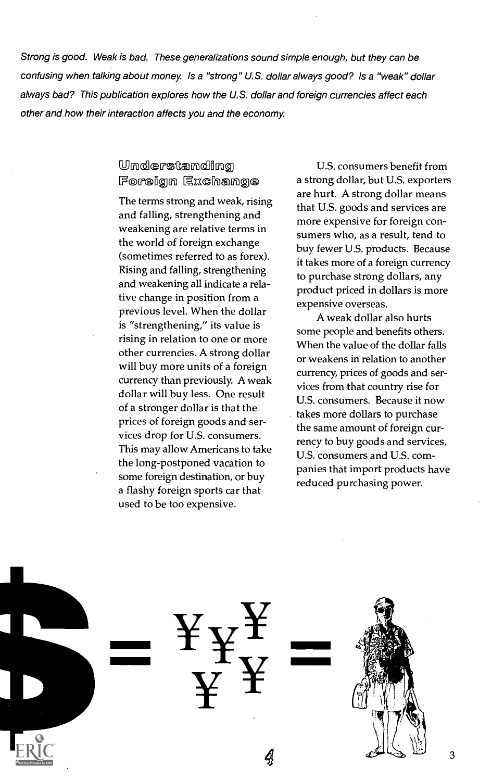Strong is good. Weak is bad. These generalizations sound simple enough, but they can be confusing when talking about money. Is a "strong" U.S. dollar always good? Is a "weak" dollar always bad? This publication explores how the U.S. dollar and foreign currencies affect each other and how their interaction affects you and the economy.

## Understanding<br>Foreign Exchange

The terms strong and weak, rising and falling, strengthening and weakening are relative terms in the world of foreign exchange (sometimes referred to as forex). Rising and falling, strengthening and weakening all indicate a relative change in position from a previous level. When the dollar is "strengthening," its value is rising in relation to one or more other currencies. A strong dollar will buy more units of a foreign currency than previously. A weak dollar will buy less. One result of a stronger dollar is that the prices of foreign goods and services drop for U.S. consumers. This may allow Americans to take the long-postponed vacation to some foreign destination, or buy a flashy foreign sports car that used to be too expensive.

U.S. consumers benefit from a strong dollar, but U.S. exporters are hurt. A strong dollar means that U.S. goods and services are more expensive for foreign consumers who, as a result, tend to buy fewer U.S. products. Because it takes more of a foreign currency to purchase strong dollars, any product priced in dollars is more expensive overseas.

A weak dollar also hurts some people and benefits others. When the value of the dollar falls or weakens in relation to another currency, prices of goods and services from that country rise for U.S. consumers. Because it now takes more dollars to purchase the same amount of foreign currency to buy goods and services, U.S. consumers and U.S. companies that import products have reduced purchasing power.

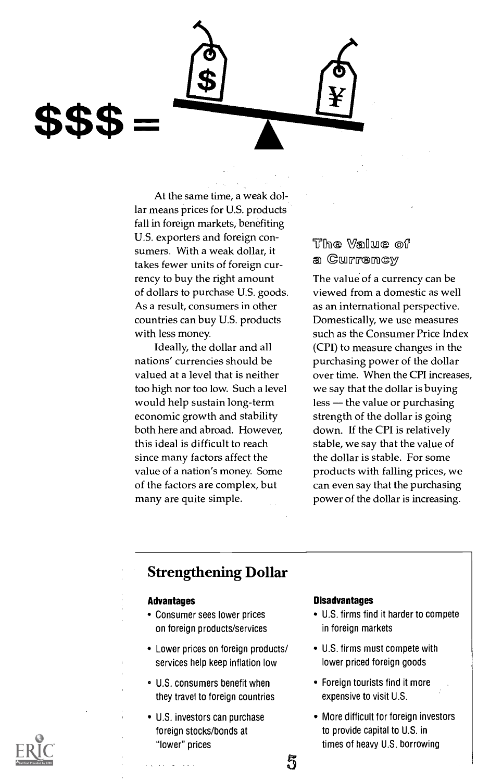# $$$$$$ = \frac{17}{100}$

At the same time, a weak dollar means prices for U.S. products fall in foreign markets, benefiting U.S. exporters and foreign consumers. With a weak dollar, it takes fewer units of foreign currency to buy the right amount of dollars to purchase U.S. goods. As a result, consumers in other countries can buy U.S. products with less money.

Ideally, the dollar and all nations' currencies should be valued at a level that is neither too high nor too low. Such a level would help sustain long-term economic growth and stability both here and abroad. However, this ideal is difficult to reach since many factors affect the value of a nation's money. Some of the factors are complex, but many are quite simple.

#### The Value of a Currency

The value of a currency can be viewed from a domestic as well as an international perspective. Domestically, we use measures such as the Consumer Price Index (CPI) to measure changes in the purchasing power of the dollar over time. When the CPI increases, we say that the dollar is buying less - the value or purchasing strength of the dollar is going down. If the CPI is relatively stable, we say that the value of the dollar is stable. For some products with falling prices, we can even say that the purchasing power of the dollar is increasing.

#### Strengthening Dollar

#### Advantages

- Consumer sees lower prices on foreign products/services
- Lower prices on foreign products/ services help keep inflation low
- U.S. consumers benefit when they travel to foreign countries
- U.S. investors can purchase foreign stocks/bonds at "lower" prices

#### **Disadvantages**

- U.S. firms find it harder to compete in foreign markets
- U.S. firms must compete with lower priced foreign goods
- Foreign tourists find it more expensive to visit U.S.
- More difficult for foreign investors to provide capital to U.S. in times of heavy U.S. borrowing

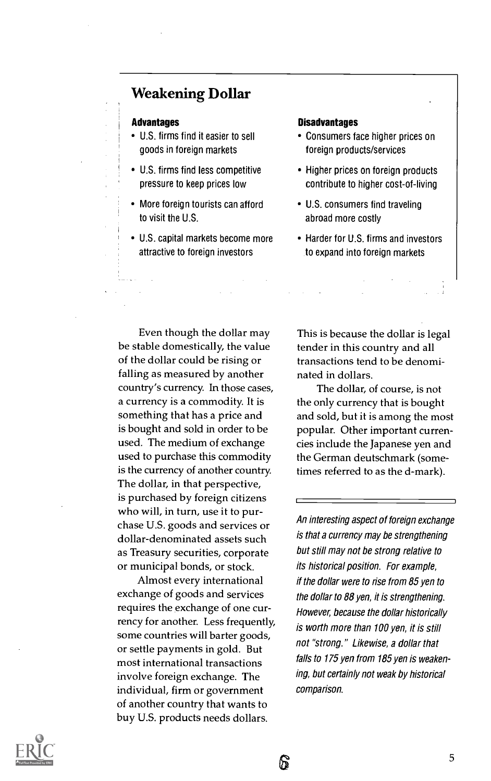#### Weakening Dollar

#### **Advantages**

- U.S. firms find it easier to sell goods in foreign markets
- U.S. firms find less competitive pressure to keep prices low
- More foreign tourists can afford to visit the U.S.
- U.S. capital markets become more attractive to foreign investors

#### **Disadvantages**

- Consumers face higher prices on foreign products/services
- Higher prices on foreign products contribute to higher cost-of-living
- U.S. consumers find traveling abroad more costly
- Harder for U.S. firms and investors to expand into foreign markets

Even though the dollar may be stable domestically, the value of the dollar could be rising or falling as measured by another country's currency. In those cases, a currency is a commodity. It is something that has a price and is bought and sold in order to be used. The medium of exchange used to purchase this commodity is the currency of another country. The dollar, in that perspective, is purchased by foreign citizens who will, in turn, use it to purchase U.S. goods and services or dollar-denominated assets such as Treasury securities, corporate or municipal bonds, or stock.

Almost every international exchange of goods and services requires the exchange of one currency for another. Less frequently, some countries will barter goods, or settle payments in gold. But most international transactions involve foreign exchange. The individual, firm or government of another country that wants to buy U.S. products needs dollars.

This is because the dollar is legal tender in this country and all transactions tend to be denominated in dollars.

The dollar, of course, is not the only currency that is bought and sold, but it is among the most popular. Other important currencies include the Japanese yen and the German deutschmark (sometimes referred to as the d-mark).

An interesting aspect of foreign exchange is that a currency may be strengthening but still may not be strong relative to its historical position. For example, if the dollar were to rise from 85 yen to the dollar to 88 yen, it is strengthening. However, because the dollar historically is worth more than 100 yen, it is still not "strong." Likewise, a dollar that falls to 175 yen from 185 yen is weakening, but certainly not weak by historical comparison.

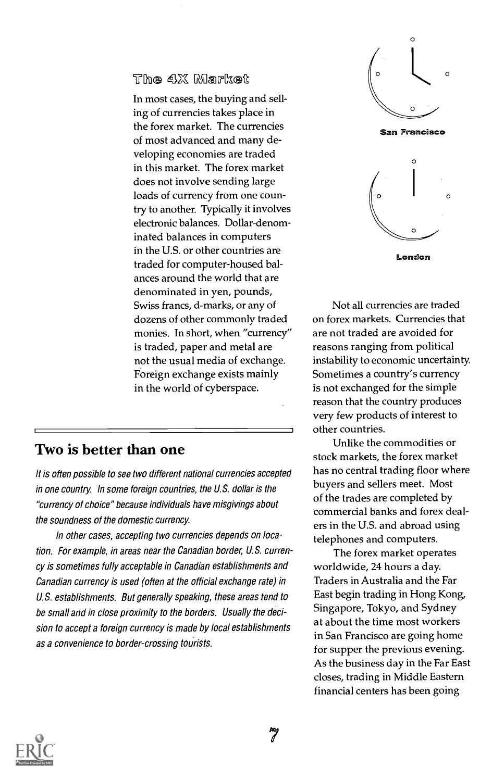#### The 4X Market

In most cases, the buying and selling of currencies takes place in the forex market. The currencies of most advanced and many developing economies are traded in this market. The forex market does not involve sending large loads of currency from one country to another. Typically it involves electronic balances. Dollar-denominated balances in computers in the U.S. or other countries are traded for computer-housed balances around the world that are denominated in yen, pounds, Swiss francs, d-marks, or any of dozens of other commonly traded monies. In short, when "currency" is traded, paper and metal are not the usual media of exchange. Foreign exchange exists mainly in the world of cyberspace.

#### Two is better than one

It is often possible to see two different national currencies accepted in one country. In some foreign countries, the U.S. dollar is the "currency of choice" because individuals have misgivings about the soundness of the domestic currency.

In other cases, accepting two currencies depends on location. For example, in areas near the Canadian border, U.S. currency is sometimes fully acceptable in Canadian establishments and Canadian currency is used (often at the official exchange rate) in U.S. establishments. But generally speaking, these areas tend to be small and in close proximity to the borders. Usually the decision to accept a foreign currency is made by local establishments as a convenience to border-crossing tourists.



Not all currencies are traded on forex markets. Currencies that are not traded are avoided for reasons ranging from political instability to economic uncertainty. Sometimes a country's currency is not exchanged for the simple reason that the country produces very few products of interest to other countries.

Unlike the commodities or stock markets, the forex market has no central trading floor where buyers and sellers meet. Most of the trades are completed by commercial banks and forex dealers in the U.S. and abroad using telephones and computers.

The forex market operates worldwide, 24 hours a day. Traders in Australia and the Far East begin trading in Hong Kong, Singapore, Tokyo, and Sydney at about the time most workers in San Francisco are going home for supper the previous evening. As the business day in the Far East closes, trading in Middle Eastern financial centers has been going

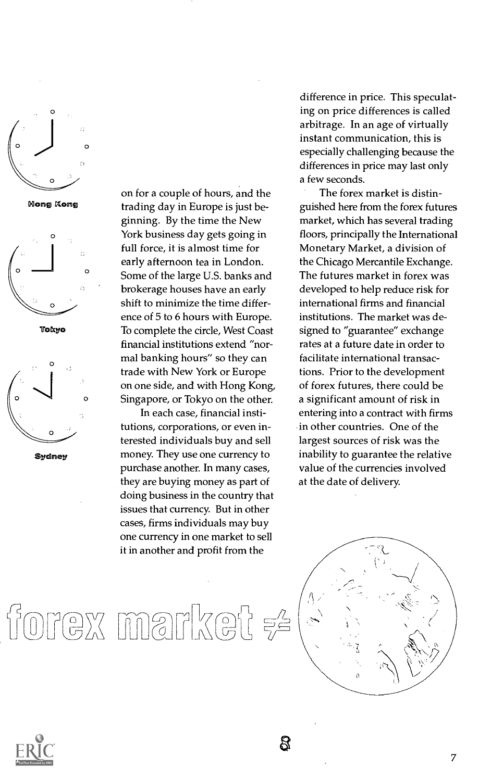

Kong Kong



Tokyo



Sydney

on for a couple of hours, and the trading day in Europe is just beginning. By the time the New York business day gets going in full force, it is almost time for early afternoon tea in London.<br>Some of the large U.S. banks and brokerage houses have an early shift to minimize the time difference of 5 to 6 hours with Europe. To complete the circle, West Coast financial institutions extend "normal banking hours" so they can trade with New York or Europe on one side, and with Hong Kong, Singapore, or Tokyo on the other.

In each case, financial institutions, corporations, or even interested individuals buy and sell money. They use one currency to purchase another. In many cases, they are buying money as part of doing business in the country that issues that currency. But in other cases, firms individuals may buy one currency in one market to sell it in another and profit from the

forex market

difference in price. This speculating on price differences is called arbitrage. In an age of virtually instant communication, this is especially challenging because the differences in price may last only a few seconds.

The forex market is distinguished here from the forex futures market, which has several trading floors, principally the International Monetary Market, a division of the Chicago Mercantile Exchange. The futures market in forex was developed to help reduce risk for international firms and financial institutions. The market was designed to "guarantee" exchange rates at a future date in order to facilitate international transactions. Prior to the development of forex futures, there could be a significant amount of risk in entering into a contract with firms in other countries. One of the largest sources of risk was the inability to guarantee the relative value of the currencies involved at the date of delivery.



 $\beta$ 

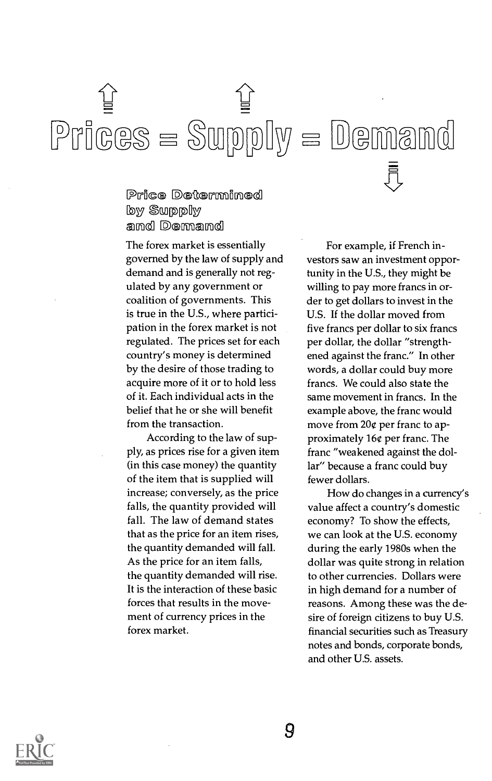## .Q..  $Prices = \text{Supply} = \text{De}$

Pu ice Deilermlined by Supply and 19eamEnd

The forex market is essentially governed by the law of supply and demand and is generally not regulated by any government or coalition of governments. This is true in the U.S., where participation in the forex market is not regulated. The prices set for each country's money is determined by the desire of those trading to acquire more of it or to hold less of it. Each individual acts in the belief that he or she will benefit from the transaction.

According to the law of supply, as prices rise for a given item (in this case money) the quantity of the item that is supplied will increase; conversely, as the price falls, the quantity provided will fall. The law of demand states that as the price for an item rises, the quantity demanded will fall. As the price for an item falls, the quantity demanded will rise. It is the interaction of these basic forces that results in the movement of currency prices in the forex market.

For example, if French investors saw an investment opportunity in the U.S., they might be willing to pay more francs in order to get dollars to invest in the U.S. If the dollar moved from five francs per dollar to six francs per dollar, the dollar "strengthened against the franc." In other words, a dollar could buy more francs. We could also state the same movement in francs. In the example above, the franc would move from  $20¢$  per franc to approximately  $16¢$  per franc. The franc "weakened against the dollar" because a franc could buy fewer dollars.

How do changes in a currency's value affect a country's domestic economy? To show the effects, we can look at the U.S. economy during the early 1980s when the dollar was quite strong in relation to other currencies. Dollars were in high demand for a number of reasons. Among these was the desire of foreign citizens to buy U.S. financial securities such as Treasury notes and bonds, corporate bonds, and other U.S. assets.

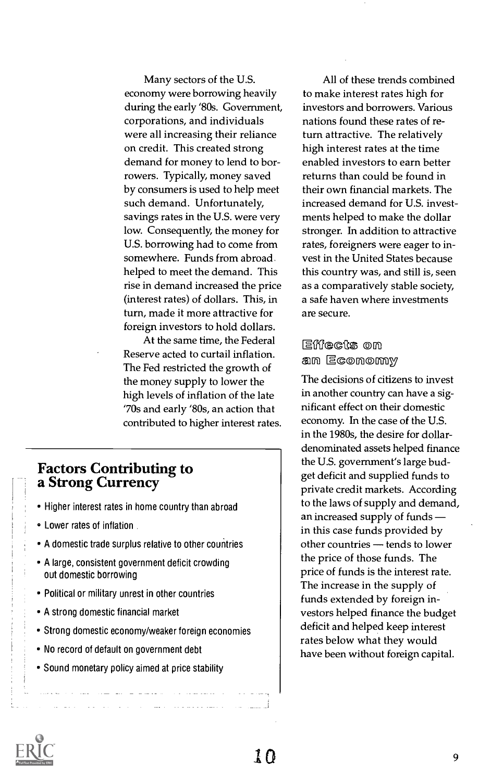Many sectors of the U.S. economy were borrowing heavily during the early '80s. Government, corporations, and individuals were all increasing their reliance on credit. This created strong demand for money to lend to borrowers. Typically, money saved by consumers is used to help meet such demand. Unfortunately, savings rates in the U.S. were very low. Consequently, the money for U.S. borrowing had to come from somewhere. Funds from abroad helped to meet the demand. This rise in demand increased the price (interest rates) of dollars. This, in turn, made it more attractive for foreign investors to hold dollars.

At the same time, the Federal Reserve acted to curtail inflation. The Fed restricted the growth of the money supply to lower the high levels of inflation of the late '70s and early '80s, an action that contributed to higher interest rates.

#### Factors Contributing to a Strong Currency

- Higher interest rates in home country than abroad
- Lower rates of inflation
- A domestic trade surplus relative to other countries
- A large, consistent government deficit crowding out domestic borrowing
- Political or military unrest in other countries
- A strong domestic financial market
- Strong domestic economy/weaker foreign economies
- No record of default on government debt
- Sound monetary policy aimed at price stability

المتقدم والمتحدث والمتحدث

All of these trends combined to make interest rates high for investors and borrowers. Various nations found these rates of return attractive. The relatively high interest rates at the time enabled investors to earn better returns than could be found in their own financial markets. The increased demand for U.S. investments helped to make the dollar stronger. In addition to attractive rates, foreigners were eager to invest in the United States because this country was, and still is, seen as a comparatively stable society, a safe haven where investments are secure.

#### Effects on am Ecomomy

The decisions of citizens to invest in another country can have a significant effect on their domestic economy. In the case of the U.S. in the 1980s, the desire for dollardenominated assets helped finance the U.S. government's large budget deficit and supplied funds to private credit markets. According to the laws of supply and demand, an increased supply of funds in this case funds provided by other countries - tends to lower the price of those funds. The price of funds is the interest rate. The increase in the supply of funds extended by foreign investors helped finance the budget deficit and helped keep interest rates below what they would have been without foreign capital.

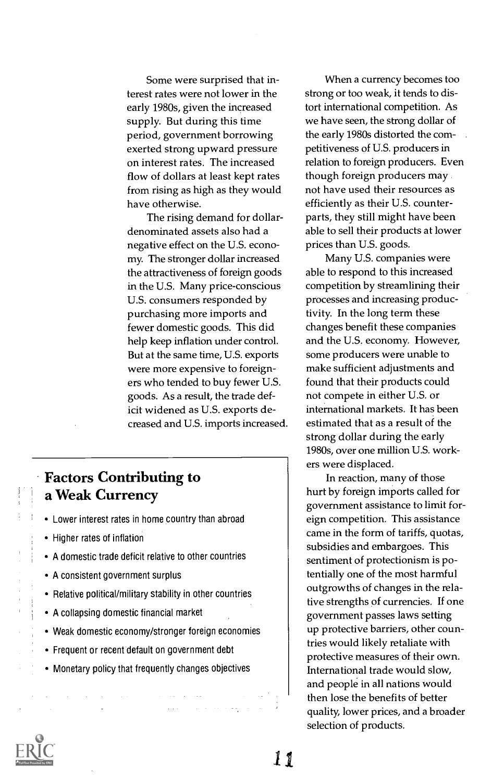Some were surprised that interest rates were not lower in the early 1980s, given the increased supply. But during this time period, government borrowing exerted strong upward pressure on interest rates. The increased flow of dollars at least kept rates from rising as high as they would have otherwise.

The rising demand for dollardenominated assets also had a negative effect on the U.S. economy. The stronger dollar increased the attractiveness of foreign goods in the U.S. Many price-conscious U.S. consumers responded by purchasing more imports and fewer domestic goods. This did help keep inflation under control. But at the same time, U.S. exports were more expensive to foreigners who tended to buy fewer U.S. goods. As a result, the trade deficit widened as U.S. exports decreased and U.S. imports increased.

Factors Contributing to a Weak Currency

- Lower interest rates in home country than abroad
- Higher rates of inflation

and the state of the state of

- A domestic trade deficit relative to other countries
- A consistent government surplus
- Relative political/military stability in other countries
- A collapsing domestic financial market
- Weak domestic economy/stronger foreign economies
- Frequent or recent default on government debt
- Monetary policy that frequently changes objectives

When a currency becomes too strong or too weak, it tends to distort international competition. As we have seen, the strong dollar of the early 1980s distorted the competitiveness of U.S. producers in relation to foreign producers. Even though foreign producers may not have used their resources as efficiently as their U.S. counterparts, they still might have been able to sell their products at lower prices than U.S. goods.

Many U.S. companies were able to respond to this increased competition by streamlining their processes and increasing productivity. In the long term these changes benefit these companies and the U.S. economy. However, some producers were unable to make sufficient adjustments and found that their products could not compete in either U.S. or international markets. It has been estimated that as a result of the strong dollar during the early 1980s, over one million U.S. workers were displaced.

In reaction, many of those hurt by foreign imports called for government assistance to limit foreign competition. This assistance came in the form of tariffs, quotas, subsidies and embargoes. This sentiment of protectionism is potentially one of the most harmful outgrowths of changes in the relative strengths of currencies. If one government passes laws setting up protective barriers, other countries would likely retaliate with protective measures of their own. International trade would slow, and people in all nations would then lose the benefits of better quality, lower prices, and a broader selection of products.

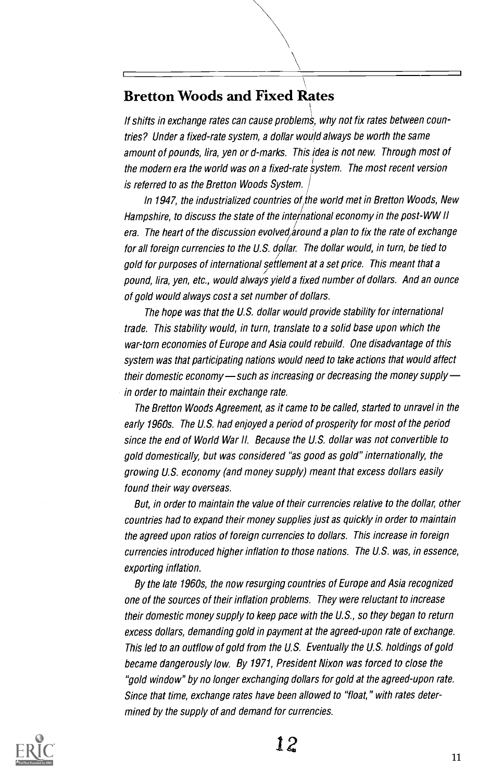#### Bretton Woods and Fixed Rates

If shifts in exchange rates can cause problems, why not fix rates between countries? Under a fixed-rate system, a dollar would always be worth the same amount of pounds, lira, yen or d-marks. This idea is not new. Through most of the modern era the world was on a fixed-rate system. The most recent version is referred to as the Bretton Woods System.

In 1947, the industrialized countries of the world met in Bretton Woods, New Hampshire, to discuss the state of the international economy in the post-WW II era. The heart of the discussion evolved around a plan to fix the rate of exchange for all foreign currencies to the U.S. dollar The dollar would, in turn, be tied to gold for purposes of international settlement at a set price. This meant that a pound, lira, yen, etc., would always yield a fixed number of dollars. And an ounce of gold would always cost a set number of dollars.

The hope was that the U.S. dollar would provide stability for international trade. This stability would, in turn, translate to a solid base upon which the war-torn economies of Europe and Asia could rebuild. One disadvantage of this system was that participating nations would need to take actions that would affect their domestic economy  $-$  such as increasing or decreasing the money supply  $$ in order to maintain their exchange rate.

The Bretton Woods Agreement, as it came to be called, started to unravel in the early 1960s. The U.S. had enjoyed a period of prosperity for most of the period since the end of World War II. Because the U.S. dollar was not convertible to gold domestically, but was considered "as good as gold" internationally, the growing U.S. economy (and money supply) meant that excess dollars easily found their way overseas.

But, in order to maintain the value of their currencies relative to the dollar, other countries had to expand their money supplies just as quickly in order to maintain the agreed upon ratios of foreign currencies to dollars. This increase in foreign currencies introduced higher inflation to those nations. The U.S. was, in essence, exporting inflation.

By the late 1960s, the now resurging countries of Europe and Asia recognized one of the sources of their inflation problems. They were reluctant to increase their domestic money supply to keep pace with the U.S., so they began to return excess dollars, demanding gold in payment at the agreed-upon rate of exchange. This led to an outflow of gold from the U.S. Eventually the U.S. holdings of gold became dangerously low. By 1971, President Nixon was forced to close the "gold window" by no longer exchanging dollars for gold at the agreed-upon rate. Since that time, exchange rates have been allowed to "float," with rates determined by the supply of and demand for currencies.

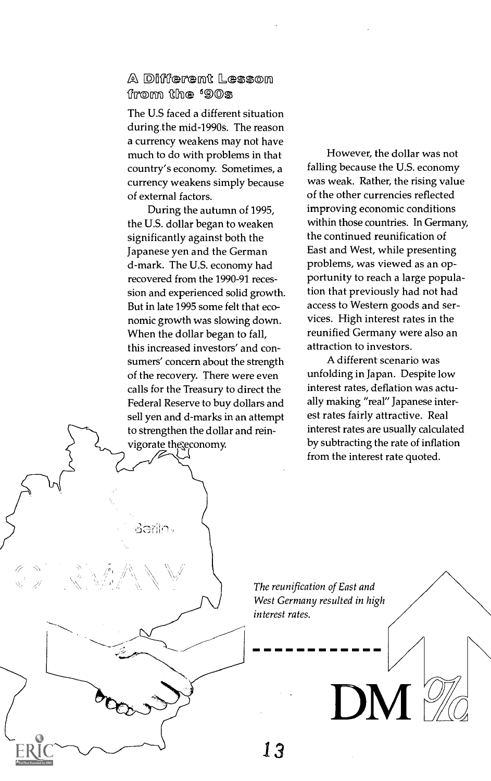#### A Diffieremt Lessom  $f$ rom  $f$ lhe  $\mathfrak{so}$ es

The U.S faced a different situation during the mid-1990s. The reason a currency weakens may not have much to do with problems in that country's economy. Sometimes, a currency weakens simply because of external factors.

During the autumn of 1995, the U.S. dollar began to weaken significantly against both the Japanese yen and the German d-mark. The U.S. economy had recovered from the 1990-91 recession and experienced solid growth. But in late 1995 some felt that economic growth was slowing down. When the dollar began to fall, this increased investors' and consumers' concern about the strength of the recovery. There were even calls for the Treasury to direct the Federal Reserve to buy dollars and sell yen and d-marks in an attempt to strengthen the dollar and reinvigorate these conomy.

Berlin-

 $\sum_{i=1}^n$ 

However, the dollar was not falling because the U.S. economy was weak. Rather, the rising value of the other currencies reflected improving economic conditions within those countries. In Germany, the continued reunification of East and West, while presenting problems, was viewed as an opportunity to reach a large population that previously had not had access to Western goods and services. High interest rates in the reunified Germany were also an attraction to investors.

A different scenario was unfolding in Japan. Despite low interest rates, deflation was actually making "real" Japanese interest rates fairly attractive. Real interest rates are usually calculated by subtracting the rate of inflation from the interest rate quoted.

DM

The reunification of East and West Germany resulted in high interest rates.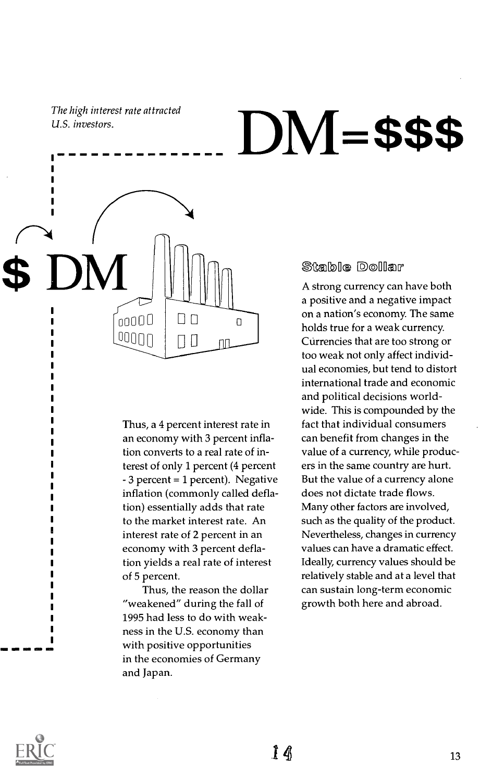# The high interest rate attracted  $\sum_{\text{U.S.}\text{ investors.}}$



Thus, a 4 percent interest rate in an economy with 3 percent inflation converts to a real rate of interest of only 1 percent (4 percent 3 percent = 1 percent). Negative inflation (commonly called deflation) essentially adds that rate to the market interest rate. An interest rate of 2 percent in an economy with 3 percent deflation yields a real rate of interest of 5 percent.

Thus, the reason the dollar "weakened" during the fall of 1995 had less to do with weakness in the U.S. economy than with positive opportunities in the economies of Germany and Japan.

#### Stable Dollar

A strong currency can have both a positive and a negative impact on a nation's economy. The same holds true for a weak currency. Currencies that are too strong or too weak not only affect individual economies, but tend to distort international trade and economic and political decisions worldwide. This is compounded by the fact that individual consumers can benefit from changes in the value of a currency, while producers in the same country are hurt. But the value of a currency alone does not dictate trade flows. Many other factors are involved, such as the quality of the product. Nevertheless, changes in currency values can have a dramatic effect. Ideally, currency values should be relatively stable and at a level that can sustain long-term economic growth both here and abroad.

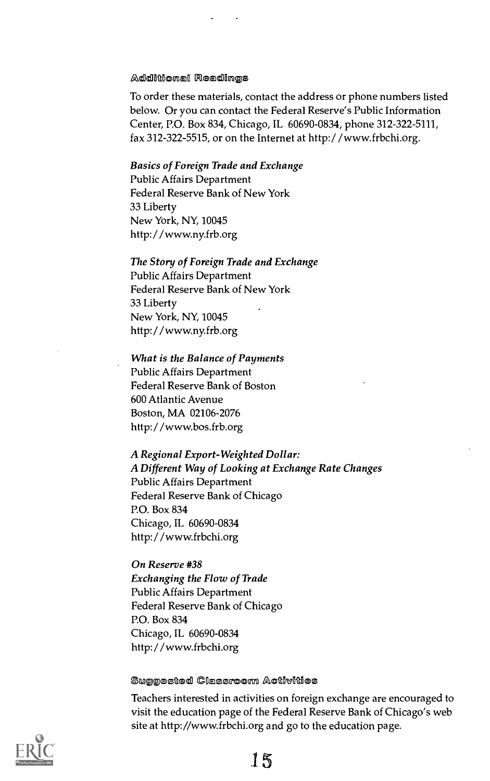#### Additional Readings

To order these materials, contact the address or phone numbers listed below. Or you can contact the Federal Reserve's Public Information Center, P.O. Box 834, Chicago, IL 60690-0834, phone 312-322-5111, fax 312-322-5515, or on the Internet at http://www.frbchi.org.

#### Basics of Foreign Trade and Exchange Public Affairs Department Federal Reserve Bank of New York 33 Liberty New York, NY, 10045 http://www.ny.frb.org

The Story of Foreign Trade and Exchange Public Affairs Department Federal Reserve Bank of New York 33 Liberty New York, NY, 10045 http://www.ny.frb.org

What is the Balance of Payments Public Affairs Department Federal Reserve Bank of Boston 600 Atlantic Avenue Boston, MA 02106-2076 http://www.bos.frb.org

A Regional Export-Weighted Dollar: A Different Way of Looking at Exchange Rate Changes Public Affairs Department Federal Reserve Bank of Chicago P.O. Box 834 Chicago, IL 60690-0834 http://www.frbchi.org

On Reserve #38 Exchanging the Flow of Trade Public Affairs Department Federal Reserve Bank of Chicago P.O. Box 834 Chicago, IL 60690-0834 http://www.frbchi.org

Suggested Classroom Activities

Teachers interested in activities on foreign exchange are encouraged to visit the education page of the Federal Reserve Bank of Chicago's web site at http://www.frbchi.org and go to the education page.

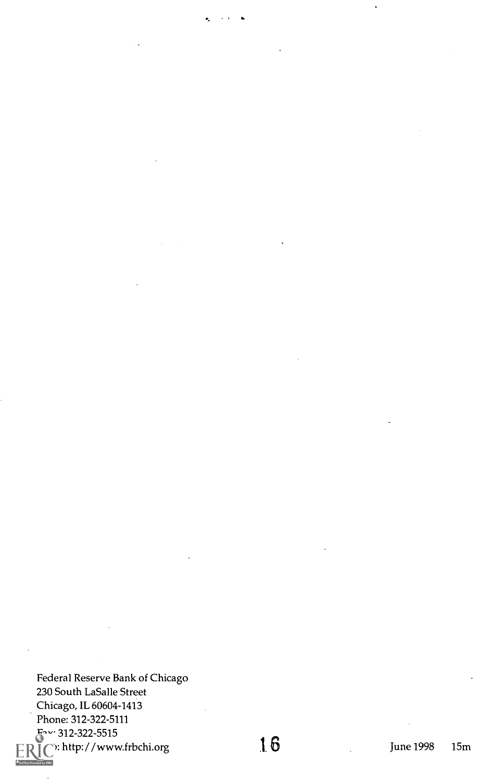Federal Reserve Bank of Chicago 230 South LaSalle Street Chicago, IL 60604-1413 Phone: 312-322-5111 Fax: 312-322-5515  $W_{\text{H}}$ : http://www.frbchi.org 16  $\text{H}$  6 June 1998 15m

ed by ERIC

 $\ddot{\phantom{0}}$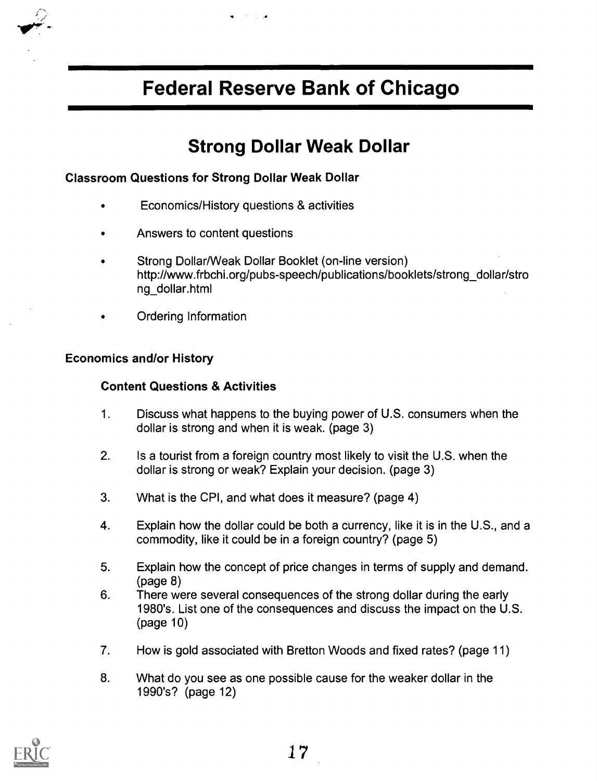## Federal Reserve Bank of Chicago

### Strong Dollar Weak Dollar

#### Classroom Questions for Strong Dollar Weak Dollar

- Economics/History questions & activities
- Answers to content questions
- Strong Dollar/Weak Dollar Booklet (on-line version) http://www.frbchi.org/pubs-speech/publications/booklets/strong\_dollar/stro ng\_dollar.html
- Ordering Information

#### Economics and/or History

#### Content Questions & Activities

- 1. Discuss what happens to the buying power of U.S. consumers when the dollar is strong and when it is weak. (page 3)
- 2. Is a tourist from a foreign country most likely to visit the U.S. when the dollar is strong or weak? Explain your decision. (page 3)
- 3. What is the CPI, and what does it measure? (page 4)
- 4. Explain how the dollar could be both a currency, like it is in the U.S., and a commodity, like it could be in a foreign country? (page 5)
- 5. Explain how the concept of price changes in terms of supply and demand. (page 8)
- 6. There were several consequences of the strong dollar during the early 1980's. List one of the consequences and discuss the impact on the U.S. (page 10)
- 7. How is gold associated with Bretton Woods and fixed rates? (page 11)
- 8. What do you see as one possible cause for the weaker dollar in the 1990's? (page 12)

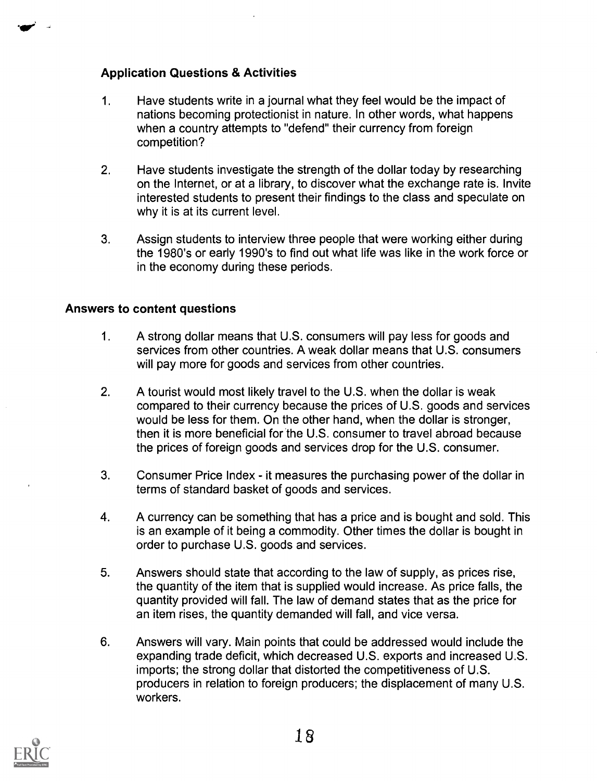#### Application Questions & Activities

- 1. Have students write in a journal what they feel would be the impact of nations becoming protectionist in nature. In other words, what happens when a country attempts to "defend" their currency from foreign competition?
- 2. Have students investigate the strength of the dollar today by researching on the Internet, or at a library, to discover what the exchange rate is. Invite interested students to present their findings to the class and speculate on why it is at its current level.
- 3. Assign students to interview three people that were working either during the 1980's or early 1990's to find out what life was like in the work force or in the economy during these periods.

#### Answers to content questions

- 1. A strong dollar means that U.S. consumers will pay less for goods and services from other countries. A weak dollar means that U.S. consumers will pay more for goods and services from other countries.
- 2. A tourist would most likely travel to the U.S. when the dollar is weak compared to their currency because the prices of U.S. goods and services would be less for them. On the other hand, when the dollar is stronger, then it is more beneficial for the U.S. consumer to travel abroad because the prices of foreign goods and services drop for the U.S. consumer.
- 3. Consumer Price Index it measures the purchasing power of the dollar in terms of standard basket of goods and services.
- 4. A currency can be something that has a price and is bought and sold. This is an example of it being a commodity. Other times the dollar is bought in order to purchase U.S. goods and services.
- 5. Answers should state that according to the law of supply, as prices rise, the quantity of the item that is supplied would increase. As price falls, the quantity provided will fall. The law of demand states that as the price for an item rises, the quantity demanded will fall, and vice versa.
- 6. Answers will vary. Main points that could be addressed would include the expanding trade deficit, which decreased U.S. exports and increased U.S. imports; the strong dollar that distorted the competitiveness of U.S. producers in relation to foreign producers; the displacement of many U.S. workers.

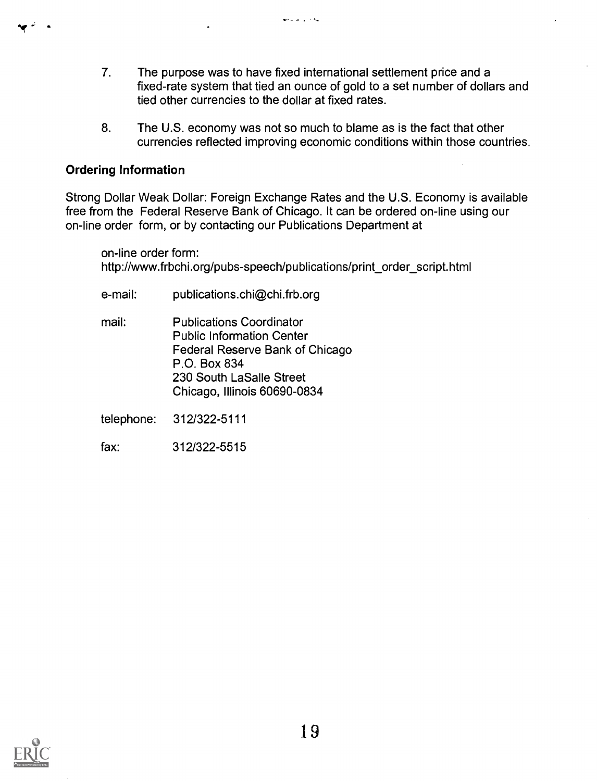7. The purpose was to have fixed international settlement price and a fixed-rate system that tied an ounce of gold to a set number of dollars and tied other currencies to the dollar at fixed rates.

يبادحها والمحامة

8. The U.S. economy was not so much to blame as is the fact that other currencies reflected improving economic conditions within those countries.

#### Ordering Information

Strong Dollar Weak Dollar: Foreign Exchange Rates and the U.S. Economy is available free from the Federal Reserve Bank of Chicago. It can be ordered on-line using our on-line order form, or by contacting our Publications Department at

on-line order form: http://www.frbchi.org/pubs-speech/publications/print\_order\_script.html

e-mail: publications.chi@chi.frb.org

- mail: Publications Coordinator Public Information Center Federal Reserve Bank of Chicago P.O. Box 834 230 South LaSalle Street Chicago, Illinois 60690-0834
- telephone: 312/322-5111

fax: 312/322-5515